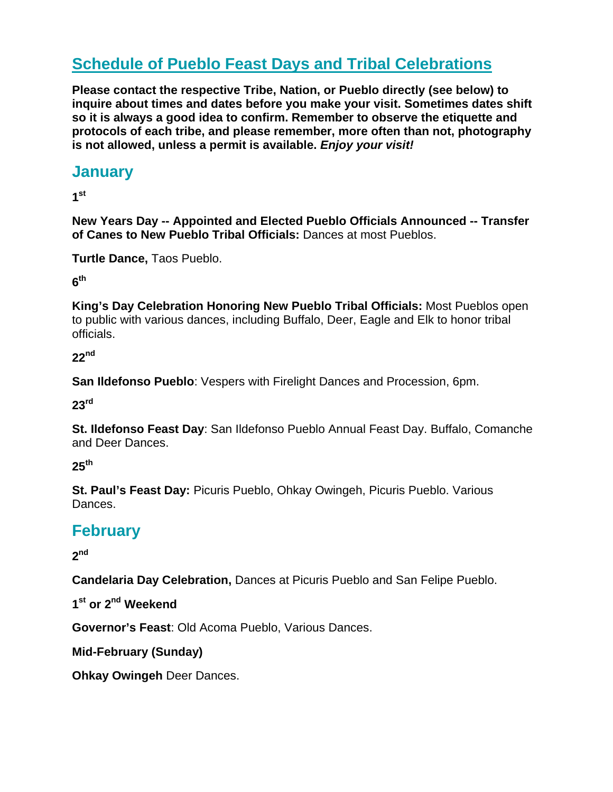# **Schedule of Pueblo Feast Days and Tribal Celebrations**

**Please contact the respective Tribe, Nation, or Pueblo directly (see below) to inquire about times and dates before you make your visit. Sometimes dates shift so it is always a good idea to confirm. Remember to observe the etiquette and protocols of each tribe, and please remember, more often than not, photography is not allowed, unless a permit is available.** *Enjoy your visit!*

### **January**

**1st**

**New Years Day -- Appointed and Elected Pueblo Officials Announced -- Transfer of Canes to New Pueblo Tribal Officials:** Dances at most Pueblos.

**Turtle Dance,** Taos Pueblo.

**6th**

**King's Day Celebration Honoring New Pueblo Tribal Officials:** Most Pueblos open to public with various dances, including Buffalo, Deer, Eagle and Elk to honor tribal officials.

**22nd**

**San Ildefonso Pueblo**: Vespers with Firelight Dances and Procession, 6pm.

**23rd**

**St. Ildefonso Feast Day**: San Ildefonso Pueblo Annual Feast Day. Buffalo, Comanche and Deer Dances.

**25th**

**St. Paul's Feast Day:** Picuris Pueblo, Ohkay Owingeh, Picuris Pueblo. Various Dances.

# **February**

**2nd**

**Candelaria Day Celebration,** Dances at Picuris Pueblo and San Felipe Pueblo.

**1st or 2nd Weekend** 

**Governor's Feast**: Old Acoma Pueblo, Various Dances.

**Mid-February (Sunday)** 

**Ohkay Owingeh** Deer Dances.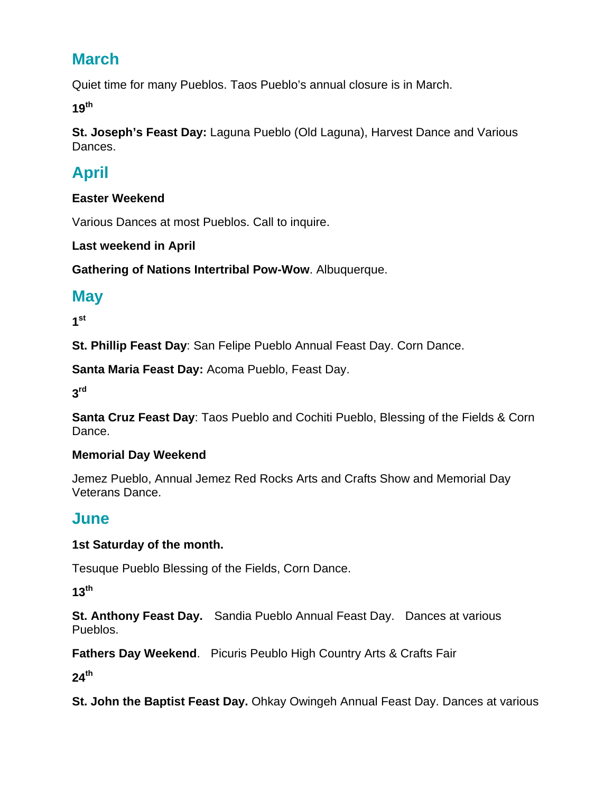# **March**

Quiet time for many Pueblos. Taos Pueblo's annual closure is in March.

**19th**

**St. Joseph's Feast Day:** Laguna Pueblo (Old Laguna), Harvest Dance and Various Dances.

# **April**

#### **Easter Weekend**

Various Dances at most Pueblos. Call to inquire.

**Last weekend in April** 

**Gathering of Nations Intertribal Pow-Wow**. Albuquerque.

## **May**

**1st**

**St. Phillip Feast Day**: San Felipe Pueblo Annual Feast Day. Corn Dance.

**Santa Maria Feast Day:** Acoma Pueblo, Feast Day.

**3rd**

**Santa Cruz Feast Day**: Taos Pueblo and Cochiti Pueblo, Blessing of the Fields & Corn Dance.

#### **Memorial Day Weekend**

Jemez Pueblo, Annual Jemez Red Rocks Arts and Crafts Show and Memorial Day Veterans Dance.

## **June**

#### **1st Saturday of the month.**

Tesuque Pueblo Blessing of the Fields, Corn Dance.

**13th**

**St. Anthony Feast Day.** Sandia Pueblo Annual Feast Day. Dances at various Pueblos.

**Fathers Day Weekend**. Picuris Peublo High Country Arts & Crafts Fair

**24th** 

**St. John the Baptist Feast Day.** Ohkay Owingeh Annual Feast Day. Dances at various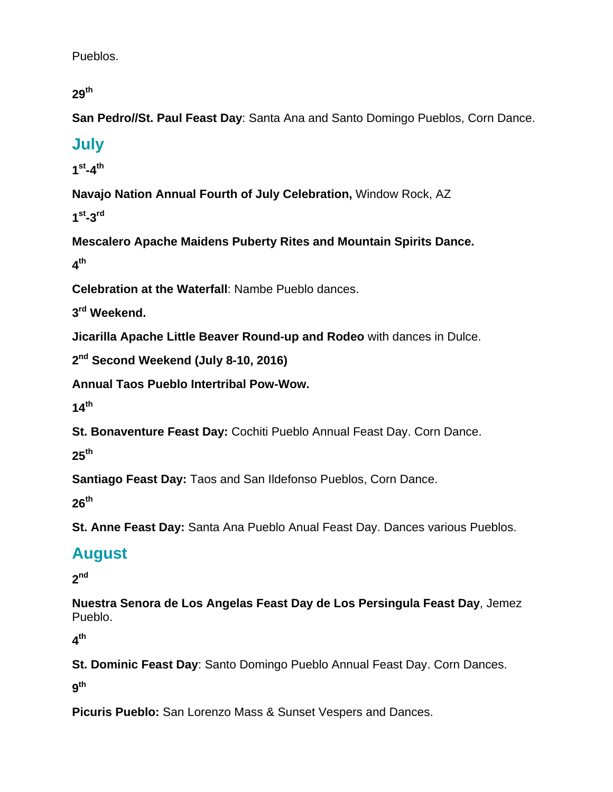Pueblos.

**29th**

**San Pedro//St. Paul Feast Day**: Santa Ana and Santo Domingo Pueblos, Corn Dance.

# **July**

**1st-4th**

**Navajo Nation Annual Fourth of July Celebration,** Window Rock, AZ

**1st-3rd**

**Mescalero Apache Maidens Puberty Rites and Mountain Spirits Dance. 4th**

**Celebration at the Waterfall**: Nambe Pueblo dances.

**3rd Weekend.** 

**Jicarilla Apache Little Beaver Round-up and Rodeo** with dances in Dulce.

```
2nd Second Weekend (July 8-10, 2016)
```
**Annual Taos Pueblo Intertribal Pow-Wow.** 

**14th**

**St. Bonaventure Feast Day:** Cochiti Pueblo Annual Feast Day. Corn Dance.

**25th**

**Santiago Feast Day:** Taos and San Ildefonso Pueblos, Corn Dance.

**26th**

**St. Anne Feast Day:** Santa Ana Pueblo Anual Feast Day. Dances various Pueblos.

# **August**

**2nd**

**Nuestra Senora de Los Angelas Feast Day de Los Persingula Feast Day**, Jemez Pueblo.

**4th**

**St. Dominic Feast Day**: Santo Domingo Pueblo Annual Feast Day. Corn Dances.

**9th**

**Picuris Pueblo:** San Lorenzo Mass & Sunset Vespers and Dances.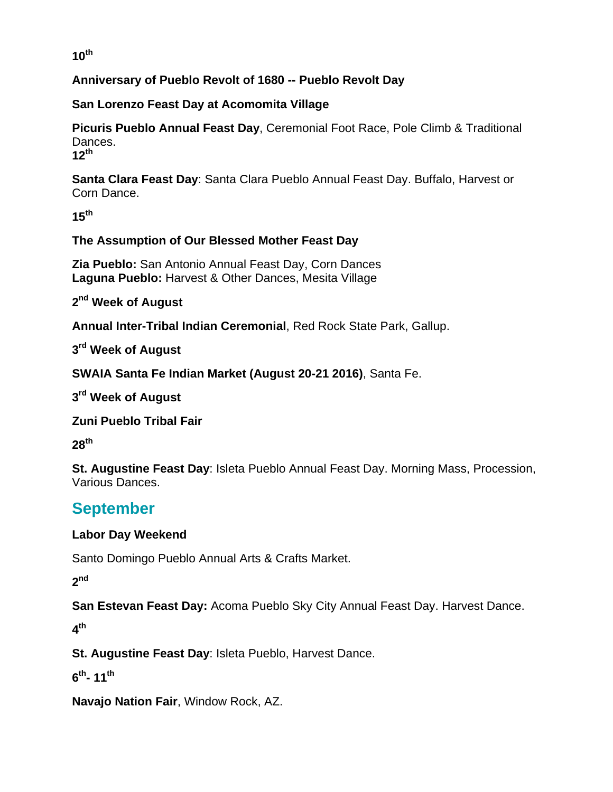#### **10th**

#### **Anniversary of Pueblo Revolt of 1680 -- Pueblo Revolt Day**

#### **San Lorenzo Feast Day at Acomomita Village**

**Picuris Pueblo Annual Feast Day**, Ceremonial Foot Race, Pole Climb & Traditional Dances. **12th**

**Santa Clara Feast Day**: Santa Clara Pueblo Annual Feast Day. Buffalo, Harvest or Corn Dance.

**15th**

#### **The Assumption of Our Blessed Mother Feast Day**

**Zia Pueblo:** San Antonio Annual Feast Day, Corn Dances **Laguna Pueblo:** Harvest & Other Dances, Mesita Village

**2nd Week of August** 

**Annual Inter-Tribal Indian Ceremonial**, Red Rock State Park, Gallup.

**3rd Week of August** 

**SWAIA Santa Fe Indian Market (August 20-21 2016)**, Santa Fe.

**3rd Week of August** 

**Zuni Pueblo Tribal Fair**

**28th**

**St. Augustine Feast Day**: Isleta Pueblo Annual Feast Day. Morning Mass, Procession, Various Dances.

# **September**

#### **Labor Day Weekend**

Santo Domingo Pueblo Annual Arts & Crafts Market.

**2nd**

**San Estevan Feast Day:** Acoma Pueblo Sky City Annual Feast Day. Harvest Dance.

**4th**

**St. Augustine Feast Day**: Isleta Pueblo, Harvest Dance.

**6th- 11th**

**Navajo Nation Fair**, Window Rock, AZ.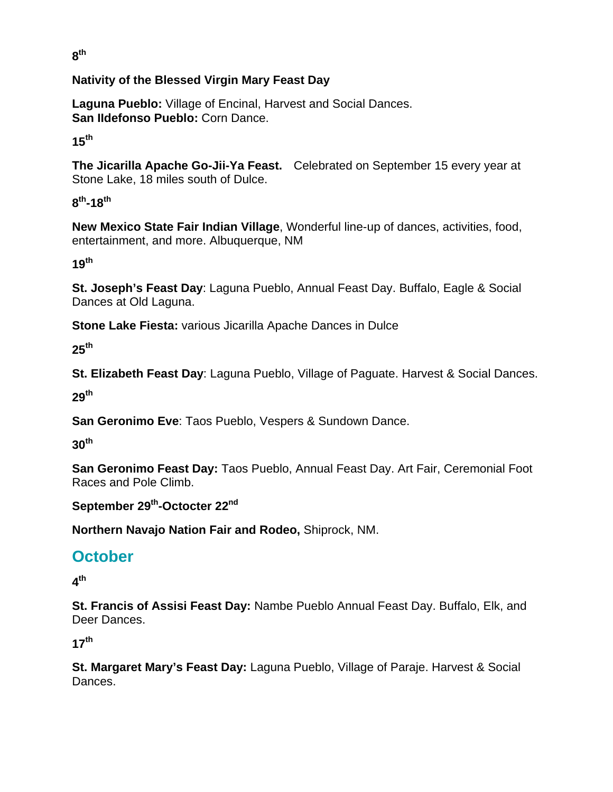**8th**

#### **Nativity of the Blessed Virgin Mary Feast Day**

**Laguna Pueblo:** Village of Encinal, Harvest and Social Dances. **San IIdefonso Pueblo:** Corn Dance.

**15th**

**The Jicarilla Apache Go-Jii-Ya Feast.** Celebrated on September 15 every year at Stone Lake, 18 miles south of Dulce.

**8th-18th**

**New Mexico State Fair Indian Village**, Wonderful line-up of dances, activities, food, entertainment, and more. Albuquerque, NM

**19th**

**St. Joseph's Feast Day**: Laguna Pueblo, Annual Feast Day. Buffalo, Eagle & Social Dances at Old Laguna.

**Stone Lake Fiesta:** various Jicarilla Apache Dances in Dulce

**25th**

**St. Elizabeth Feast Day**: Laguna Pueblo, Village of Paguate. Harvest & Social Dances.

**29th**

**San Geronimo Eve**: Taos Pueblo, Vespers & Sundown Dance.

**30th**

**San Geronimo Feast Day:** Taos Pueblo, Annual Feast Day. Art Fair, Ceremonial Foot Races and Pole Climb.

September 29<sup>th</sup>-Octocter 22<sup>nd</sup>

**Northern Navajo Nation Fair and Rodeo,** Shiprock, NM.

# **October**

**4th**

**St. Francis of Assisi Feast Day:** Nambe Pueblo Annual Feast Day. Buffalo, Elk, and Deer Dances.

**17th**

**St. Margaret Mary's Feast Day:** Laguna Pueblo, Village of Paraje. Harvest & Social Dances.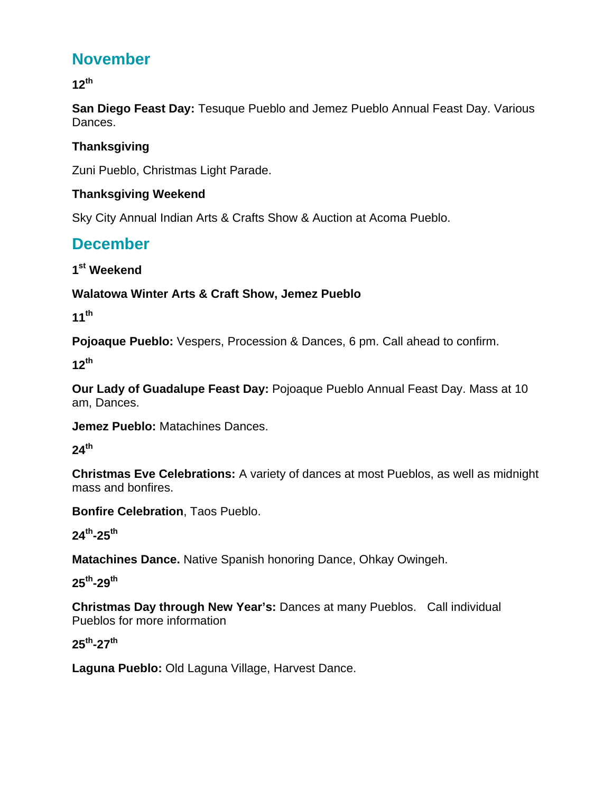# **November**

**12th**

**San Diego Feast Day:** Tesuque Pueblo and Jemez Pueblo Annual Feast Day. Various Dances.

#### **Thanksgiving**

Zuni Pueblo, Christmas Light Parade.

#### **Thanksgiving Weekend**

Sky City Annual Indian Arts & Crafts Show & Auction at Acoma Pueblo.

## **December**

**1st Weekend** 

#### **Walatowa Winter Arts & Craft Show, Jemez Pueblo**

**11th**

**Pojoaque Pueblo:** Vespers, Procession & Dances, 6 pm. Call ahead to confirm.

**12th**

**Our Lady of Guadalupe Feast Day:** Pojoaque Pueblo Annual Feast Day. Mass at 10 am, Dances.

**Jemez Pueblo:** Matachines Dances.

**24th**

**Christmas Eve Celebrations:** A variety of dances at most Pueblos, as well as midnight mass and bonfires.

**Bonfire Celebration**, Taos Pueblo.

**24th-25th**

**Matachines Dance.** Native Spanish honoring Dance, Ohkay Owingeh.

**25th-29th**

**Christmas Day through New Year's:** Dances at many Pueblos. Call individual Pueblos for more information

#### **25th-27th**

**Laguna Pueblo:** Old Laguna Village, Harvest Dance.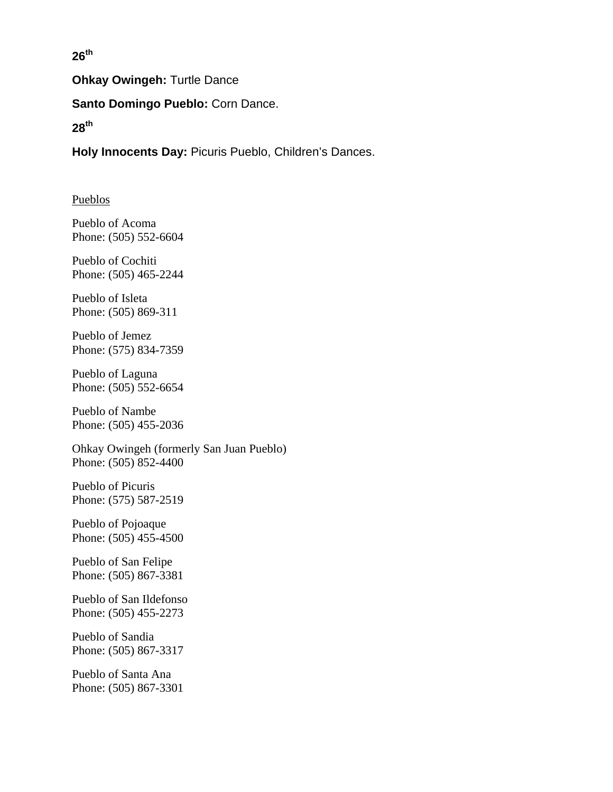**26th**

**Ohkay Owingeh:** Turtle Dance

**Santo Domingo Pueblo:** Corn Dance.

**28th**

**Holy Innocents Day:** Picuris Pueblo, Children's Dances.

#### Pueblos

Pueblo of Acoma Phone: (505) 552-6604

Pueblo of Cochiti Phone: (505) 465-2244

Pueblo of Isleta Phone: (505) 869-311

Pueblo of Jemez Phone: (575) 834-7359

Pueblo of Laguna Phone: (505) 552-6654

Pueblo of Nambe Phone: (505) 455-2036

Ohkay Owingeh (formerly San Juan Pueblo) Phone: (505) 852-4400

Pueblo of Picuris Phone: (575) 587-2519

Pueblo of Pojoaque Phone: (505) 455-4500

Pueblo of San Felipe Phone: (505) 867-3381

Pueblo of San Ildefonso Phone: (505) 455-2273

Pueblo of Sandia Phone: (505) 867-3317

Pueblo of Santa Ana Phone: (505) 867-3301